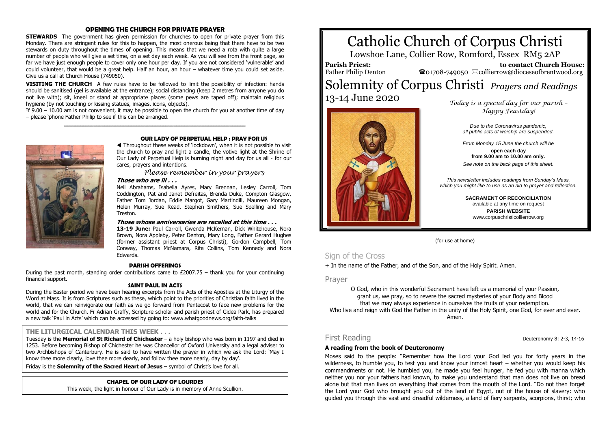### **OPENING THE CHURCH FOR PRIVATE PRAYER**

**STEWARDS** The government has given permission for churches to open for private prayer from this Monday. There are stringent rules for this to happen, the most onerous being that there have to be two stewards on duty throughout the times of opening. This means that we need a rota with quite a large number of people who will give a set time, on a set day each week. As you will see from the front page, so far we have just enough people to cover only one hour per day. If you are not considered 'vulnerable' and could volunteer, that would be a great help. Half an hour, an hour – whatever time you could set aside. Give us a call at Church House (749050).

**VISITING THE CHURCH** A few rules have to be followed to limit the possibility of infection: hands should be sanitised (gel is available at the entrance); social distancing (keep 2 metres from anyone you do not live with); sit, kneel or stand at appropriate places (some pews are taped off); maintain religious hygiene (by not touching or kissing statues, images, icons, objects).

If 9.00 – 10.00 am is not convenient, it may be possible to open the church for you at another time of day – please 'phone Father Philip to see if this can be arranged. **\_\_\_\_\_\_\_\_\_\_\_\_\_\_\_\_\_\_\_\_\_\_\_\_\_\_\_\_\_\_\_\_\_\_\_\_\_\_\_\_\_\_\_\_\_\_\_\_\_\_\_\_\_\_\_\_\_\_\_\_\_\_\_\_\_\_\_\_**



#### **OUR LADY OF PERPETUAL HELP : PRAY FOR US**

 Throughout these weeks of 'lockdown', when it is not possible to visit the church to pray and light a candle, the votive light at the Shrine of Our Lady of Perpetual Help is burning night and day for us all - for our cares, prayers and intentions.

*Please remember in your prayers*

# **Those who are ill . . .**

Neil Abrahams, Isabella Ayres, Mary Brennan, Lesley Carroll, Tom Coddington, Pat and Janet Defreitas, Brenda Duke, Compton Glasgow, Father Tom Jordan, Eddie Margot, Gary Martindill, Maureen Mongan, Helen Murray, Sue Read, Stephen Smithers, Sue Spelling and Mary Treston.

### **Those whose anniversaries are recalled at this time . . .**

**13-19 June:** Paul Carroll, Gwenda McKernan, Dick Whitehouse, Nora Brown, Nora Appleby, Peter Denton, Mary Long, Father Gerard Hughes (former assistant priest at Corpus Christi), Gordon Campbell, Tom Conway, Thomas McNamara, Rita Collins, Tom Kennedy and Nora Edwards.

#### **PARISH OFFERINGS**

During the past month, standing order contributions came to £2007.75 – thank you for your continuing financial support.

## **SAINT PAUL IN ACTS**

During the Easter period we have been hearing excerpts from the Acts of the Apostles at the Liturgy of the Word at Mass. It is from Scriptures such as these, which point to the priorities of Christian faith lived in the world, that we can reinvigorate our faith as we go forward from Pentecost to face new problems for the world and for the Church. Fr Adrian Graffy, Scripture scholar and parish priest of Gidea Park, has prepared a new talk 'Paul in Acts' which can be accessed by going to: www.whatgoodnews.org/faith-talks

#### **THE LITURGICAL CALENDAR THIS WEEK . . .**

Tuesday is the **Memorial of St Richard of Chichester** – a holy bishop who was born in 1197 and died in 1253. Before becoming Bishop of Chichester he was Chancellor of Oxford University and a legal adviser to two Archbishops of Canterbury. He is said to have written the prayer in which we ask the Lord: 'May I know thee more clearly, love thee more dearly, and follow thee more nearly, day by day'.

Friday is the **Solemnity of the Sacred Heart of Jesus** – symbol of Christ's love for all.

## **CHAPEL OF OUR LADY OF LOURDES**

This week, the light in honour of Our Lady is in memory of Anne Scullion.

# Catholic Church of Corpus Christi

Lowshoe Lane, Collier Row, Romford, Essex RM5 2AP

**Parish Priest:** Father Philip Denton

 **to contact Church House:** 01708-749050 collierrow@dioceseofbrentwood.org

# Solemnity of Corpus Christi *Prayers and Readings* 13-14 June 2020



 *Today is a special day for our parish – Happy Feastday!*

> *Due to the Coronavirus pandemic, all public acts of worship are suspended.*

> *From Monday 15 June the church will be*

**open each day from 9.00 am to 10.00 am only.** *See note on the back page of this sheet.*

*This newsletter includes readings from Sunday's Mass, which you might like to use as an aid to prayer and reflection.*

> **SACRAMENT OF RECONCILIATION** available at any time on request **PARISH WEBSITE** www.corpuschristicollierrow.org

(for use at home)

# Sign of the Cross

+ In the name of the Father, and of the Son, and of the Holy Spirit. Amen.

Prayer

O God, who in this wonderful Sacrament have left us a memorial of your Passion, grant us, we pray, so to revere the sacred mysteries of your Body and Blood that we may always experience in ourselves the fruits of your redemption. Who live and reign with God the Father in the unity of the Holy Spirit, one God, for ever and ever. Amen.

#### **A reading from the book of Deuteronomy**

Moses said to the people: "Remember how the Lord your God led you for forty years in the wilderness, to humble you, to test you and know your inmost heart – whether you would keep his commandments or not. He humbled you, he made you feel hunger, he fed you with manna which neither you nor your fathers had known, to make you understand that man does not live on bread alone but that man lives on everything that comes from the mouth of the Lord. "Do not then forget the Lord your God who brought you out of the land of Egypt, out of the house of slavery: who guided you through this vast and dreadful wilderness, a land of fiery serpents, scorpions, thirst; who

First Reading **Deuteronomy 8: 2-3, 14-16**